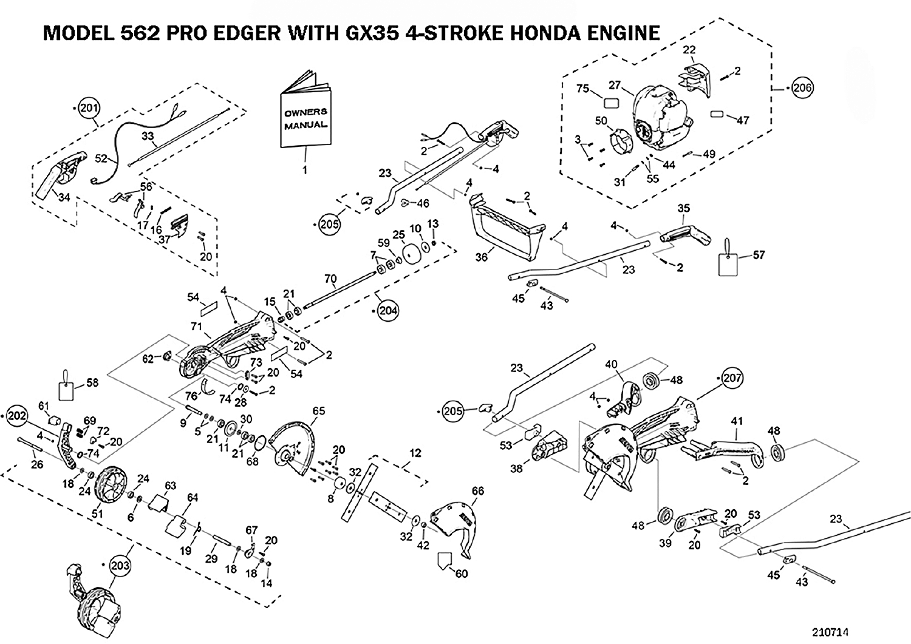